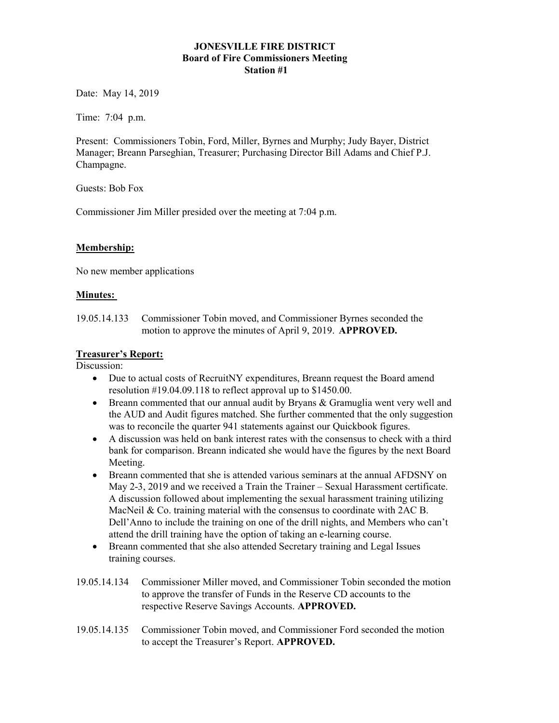#### JONESVILLE FIRE DISTRICT Board of Fire Commissioners Meeting Station #1

Date: May 14, 2019

Time: 7:04 p.m.

Present: Commissioners Tobin, Ford, Miller, Byrnes and Murphy; Judy Bayer, District Manager; Breann Parseghian, Treasurer; Purchasing Director Bill Adams and Chief P.J. Champagne.

Guests: Bob Fox

Commissioner Jim Miller presided over the meeting at 7:04 p.m.

### Membership:

No new member applications

#### Minutes:

19.05.14.133 Commissioner Tobin moved, and Commissioner Byrnes seconded the motion to approve the minutes of April 9, 2019. APPROVED.

#### Treasurer's Report:

Discussion:

- Due to actual costs of RecruitNY expenditures, Breann request the Board amend resolution #19.04.09.118 to reflect approval up to \$1450.00.
- Breann commented that our annual audit by Bryans & Gramuglia went very well and the AUD and Audit figures matched. She further commented that the only suggestion was to reconcile the quarter 941 statements against our Quickbook figures.
- A discussion was held on bank interest rates with the consensus to check with a third bank for comparison. Breann indicated she would have the figures by the next Board Meeting.
- Breann commented that she is attended various seminars at the annual AFDSNY on May 2-3, 2019 and we received a Train the Trainer – Sexual Harassment certificate. A discussion followed about implementing the sexual harassment training utilizing MacNeil & Co. training material with the consensus to coordinate with 2AC B. Dell'Anno to include the training on one of the drill nights, and Members who can't attend the drill training have the option of taking an e-learning course.
- Breann commented that she also attended Secretary training and Legal Issues training courses.
- 19.05.14.134 Commissioner Miller moved, and Commissioner Tobin seconded the motion to approve the transfer of Funds in the Reserve CD accounts to the respective Reserve Savings Accounts. APPROVED.
- 19.05.14.135 Commissioner Tobin moved, and Commissioner Ford seconded the motion to accept the Treasurer's Report. APPROVED.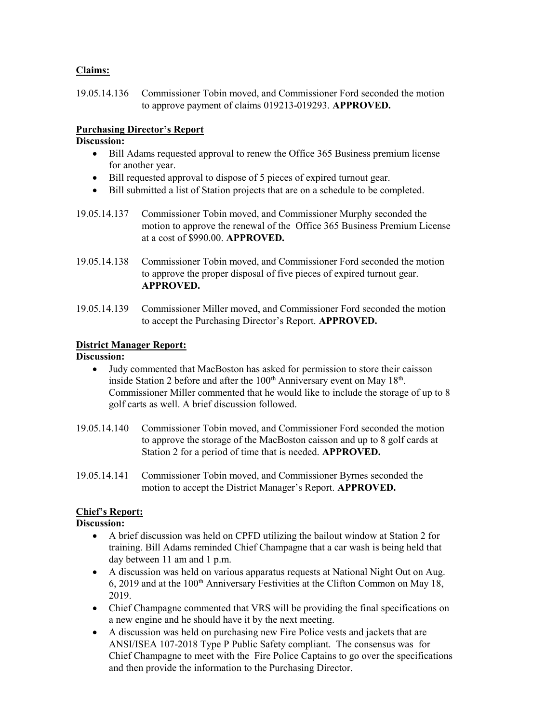#### Claims:

19.05.14.136 Commissioner Tobin moved, and Commissioner Ford seconded the motion to approve payment of claims 019213-019293. APPROVED.

#### Purchasing Director's Report

#### Discussion:

- Bill Adams requested approval to renew the Office 365 Business premium license for another year.
- Bill requested approval to dispose of 5 pieces of expired turnout gear.
- Bill submitted a list of Station projects that are on a schedule to be completed.
- 19.05.14.137 Commissioner Tobin moved, and Commissioner Murphy seconded the motion to approve the renewal of the Office 365 Business Premium License at a cost of \$990.00. APPROVED.
- 19.05.14.138 Commissioner Tobin moved, and Commissioner Ford seconded the motion to approve the proper disposal of five pieces of expired turnout gear. APPROVED.
- 19.05.14.139 Commissioner Miller moved, and Commissioner Ford seconded the motion to accept the Purchasing Director's Report. APPROVED.

### District Manager Report:

### Discussion:

- Judy commented that MacBoston has asked for permission to store their caisson inside Station 2 before and after the  $100<sup>th</sup>$  Anniversary event on May  $18<sup>th</sup>$ . Commissioner Miller commented that he would like to include the storage of up to 8 golf carts as well. A brief discussion followed.
- 19.05.14.140 Commissioner Tobin moved, and Commissioner Ford seconded the motion to approve the storage of the MacBoston caisson and up to 8 golf cards at Station 2 for a period of time that is needed. APPROVED.
- 19.05.14.141 Commissioner Tobin moved, and Commissioner Byrnes seconded the motion to accept the District Manager's Report. APPROVED.

### Chief's Report:

#### Discussion:

- A brief discussion was held on CPFD utilizing the bailout window at Station 2 for training. Bill Adams reminded Chief Champagne that a car wash is being held that day between 11 am and 1 p.m.
- A discussion was held on various apparatus requests at National Night Out on Aug. 6, 2019 and at the 100<sup>th</sup> Anniversary Festivities at the Clifton Common on May 18, 2019.
- Chief Champagne commented that VRS will be providing the final specifications on a new engine and he should have it by the next meeting.
- A discussion was held on purchasing new Fire Police vests and jackets that are ANSI/ISEA 107-2018 Type P Public Safety compliant. The consensus was for Chief Champagne to meet with the Fire Police Captains to go over the specifications and then provide the information to the Purchasing Director.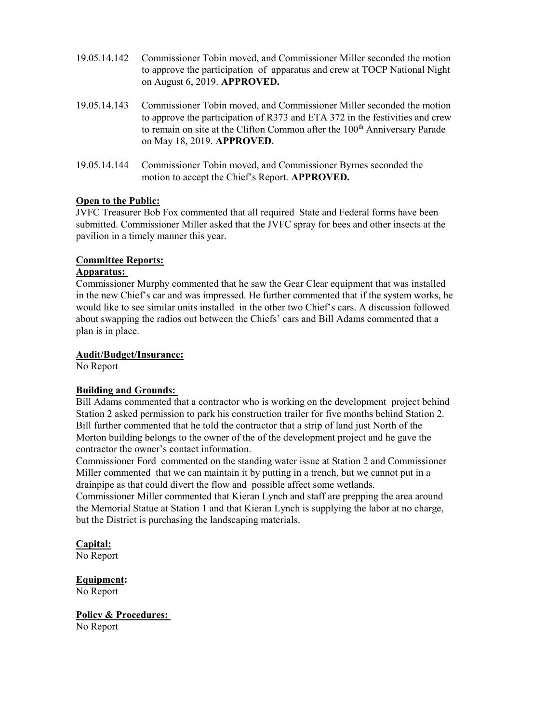- 19.05.14.142 Commissioner Tobin moved, and Commissioner Miller seconded the motion to approve the participation of apparatus and crew at TOCP National Night on August 6, 2019. APPROVED.
- 19.05.14.143 Commissioner Tobin moved, and Commissioner Miller seconded the motion to approve the participation of R373 and ETA 372 in the festivities and crew to remain on site at the Clifton Common after the 100<sup>th</sup> Anniversary Parade on May 18, 2019. APPROVED.
- 19.05.14.144 Commissioner Tobin moved, and Commissioner Byrnes seconded the motion to accept the Chief's Report. APPROVED.

#### Open to the Public:

JVFC Treasurer Bob Fox commented that all required State and Federal forms have been submitted. Commissioner Miller asked that the JVFC spray for bees and other insects at the pavilion in a timely manner this year.

#### Committee Reports:

#### Apparatus:

Commissioner Murphy commented that he saw the Gear Clear equipment that was installed in the new Chief's car and was impressed. He further commented that if the system works, he would like to see similar units installed in the other two Chief's cars. A discussion followed about swapping the radios out between the Chiefs' cars and Bill Adams commented that a plan is in place.

#### Audit/Budget/Insurance:

No Report

#### Building and Grounds:

Bill Adams commented that a contractor who is working on the development project behind Station 2 asked permission to park his construction trailer for five months behind Station 2. Bill further commented that he told the contractor that a strip of land just North of the Morton building belongs to the owner of the of the development project and he gave the contractor the owner's contact information.

Commissioner Ford commented on the standing water issue at Station 2 and Commissioner Miller commented that we can maintain it by putting in a trench, but we cannot put in a drainpipe as that could divert the flow and possible affect some wetlands.

Commissioner Miller commented that Kieran Lynch and staff are prepping the area around the Memorial Statue at Station 1 and that Kieran Lynch is supplying the labor at no charge, but the District is purchasing the landscaping materials.

### Capital:

No Report

### Equipment:

No Report

### Policy & Procedures:

No Report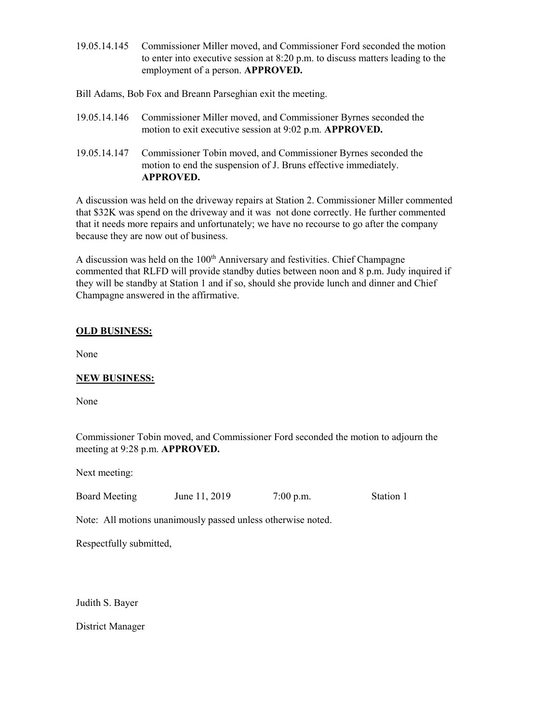19.05.14.145 Commissioner Miller moved, and Commissioner Ford seconded the motion to enter into executive session at 8:20 p.m. to discuss matters leading to the employment of a person. APPROVED.

Bill Adams, Bob Fox and Breann Parseghian exit the meeting.

| 19.05.14.146 Commissioner Miller moved, and Commissioner Byrnes seconded the |
|------------------------------------------------------------------------------|
| motion to exit executive session at 9:02 p.m. APPROVED.                      |

19.05.14.147 Commissioner Tobin moved, and Commissioner Byrnes seconded the motion to end the suspension of J. Bruns effective immediately. APPROVED.

A discussion was held on the driveway repairs at Station 2. Commissioner Miller commented that \$32K was spend on the driveway and it was not done correctly. He further commented that it needs more repairs and unfortunately; we have no recourse to go after the company because they are now out of business.

A discussion was held on the 100<sup>th</sup> Anniversary and festivities. Chief Champagne commented that RLFD will provide standby duties between noon and 8 p.m. Judy inquired if they will be standby at Station 1 and if so, should she provide lunch and dinner and Chief Champagne answered in the affirmative.

### OLD BUSINESS:

None

### NEW BUSINESS:

None

Commissioner Tobin moved, and Commissioner Ford seconded the motion to adjourn the meeting at 9:28 p.m. APPROVED.

Next meeting:

Board Meeting June 11, 2019 7:00 p.m. Station 1

Note: All motions unanimously passed unless otherwise noted.

Respectfully submitted,

Judith S. Bayer

District Manager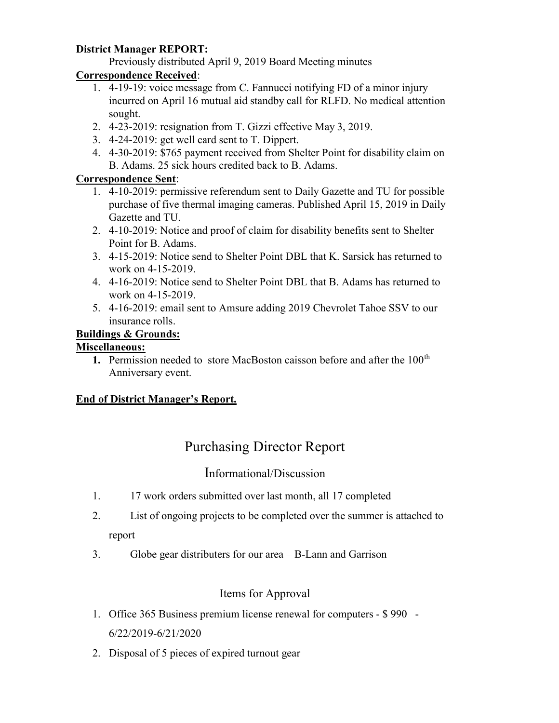### District Manager REPORT:

Previously distributed April 9, 2019 Board Meeting minutes

# Correspondence Received:

- 1. 4-19-19: voice message from C. Fannucci notifying FD of a minor injury incurred on April 16 mutual aid standby call for RLFD. No medical attention sought.
- 2. 4-23-2019: resignation from T. Gizzi effective May 3, 2019.
- 3. 4-24-2019: get well card sent to T. Dippert.
- 4. 4-30-2019: \$765 payment received from Shelter Point for disability claim on B. Adams. 25 sick hours credited back to B. Adams.

# Correspondence Sent:

- 1. 4-10-2019: permissive referendum sent to Daily Gazette and TU for possible purchase of five thermal imaging cameras. Published April 15, 2019 in Daily Gazette and TU.
- 2. 4-10-2019: Notice and proof of claim for disability benefits sent to Shelter Point for B. Adams.
- 3. 4-15-2019: Notice send to Shelter Point DBL that K. Sarsick has returned to work on 4-15-2019.
- 4. 4-16-2019: Notice send to Shelter Point DBL that B. Adams has returned to work on 4-15-2019.
- 5. 4-16-2019: email sent to Amsure adding 2019 Chevrolet Tahoe SSV to our insurance rolls.

# Buildings & Grounds:

### Miscellaneous:

1. Permission needed to store MacBoston caisson before and after the  $100<sup>th</sup>$ Anniversary event.

# End of District Manager's Report.

# Purchasing Director Report

# Informational/Discussion

- 1. 17 work orders submitted over last month, all 17 completed
- 2. List of ongoing projects to be completed over the summer is attached to report
- 3. Globe gear distributers for our area B-Lann and Garrison

# Items for Approval

- 1. Office 365 Business premium license renewal for computers \$ 990 6/22/2019-6/21/2020
- 2. Disposal of 5 pieces of expired turnout gear